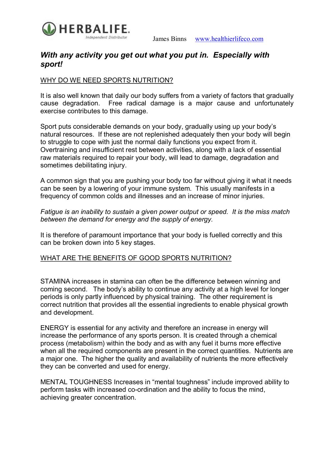

# *With any activity you get out what you put in. Especially with sport!*

## WHY DO WE NEED SPORTS NUTRITION?

It is also well known that daily our body suffers from a variety of factors that gradually cause degradation. Free radical damage is a major cause and unfortunately exercise contributes to this damage.

Sport puts considerable demands on your body, gradually using up your body's natural resources. If these are not replenished adequately then your body will begin to struggle to cope with just the normal daily functions you expect from it. Overtraining and insufficient rest between activities, along with a lack of essential raw materials required to repair your body, will lead to damage, degradation and sometimes debilitating injury.

A common sign that you are pushing your body too far without giving it what it needs can be seen by a lowering of your immune system. This usually manifests in a frequency of common colds and illnesses and an increase of minor injuries.

*Fatigue is an inability to sustain a given power output or speed. It is the miss match between the demand for energy and the supply of energy.*

It is therefore of paramount importance that your body is fuelled correctly and this can be broken down into 5 key stages.

### WHAT ARE THE BENEFITS OF GOOD SPORTS NUTRITION?

STAMINA increases in stamina can often be the difference between winning and coming second. The body's ability to continue any activity at a high level for longer periods is only partly influenced by physical training. The other requirement is correct nutrition that provides all the essential ingredients to enable physical growth and development.

ENERGY is essential for any activity and therefore an increase in energy will increase the performance of any sports person. It is created through a chemical process (metabolism) within the body and as with any fuel it burns more effective when all the required components are present in the correct quantities. Nutrients are a major one. The higher the quality and availability of nutrients the more effectively they can be converted and used for energy.

MENTAL TOUGHNESS Increases in "mental toughness" include improved ability to perform tasks with increased co-ordination and the ability to focus the mind. achieving greater concentration.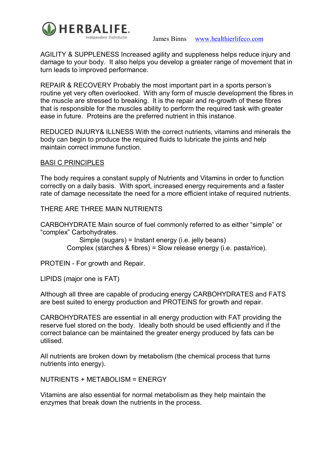

AGILITY & SUPPLENESS Increased agility and suppleness helps reduce injury and damage to your body. It also helps you develop a greater range of movement that in turn leads to improved performance.

REPAIR & RECOVERY Probably the most important part in a sports person's routine yet very often overlooked. With any form of muscle development the fibres in the muscle are stressed to breaking. It is the repair and re-growth of these fibres that is responsible for the muscles ability to perform the required task with greater ease in future. Proteins are the preferred nutrient in this instance.

REDUCED INJURY& ILLNESS With the correct nutrients, vitamins and minerals the body can begin to produce the required fluids to lubricate the joints and help maintain correct immune function.

### BASI C PRINCIPLES

The body requires a constant supply of Nutrients and Vitamins in order to function correctly on a daily basis. With sport, increased energy requirements and a faster rate of damage necessitate the need for a more efficient intake of required nutrients.

#### THERE ARE THREE MAIN NUTRIENTS

CARBOHYDRATE Main source of fuel commonly referred to as either "simple" or "complex" Carbohydrates.

> Simple (sugars) = Instant energy (i.e. jelly beans) Complex (starches & fibres) = Slow release energy (i.e. pasta/rice).

PROTEIN - For growth and Repair.

LIPIDS (major one is FAT)

Although all three are capable of producing energy CARBOHYDRATES and FATS are best suited to energy production and PROTEINS for growth and repair.

CARBOHYDRATES are essential in all energy production with FAT providing the reserve fuel stored on the body. Ideally both should be used efficiently and if the correct balance can be maintained the greater energy produced by fats can be utilised.

All nutrients are broken down by metabolism (the chemical process that turns nutrients into energy).

NUTRIENTS + METABOLISM = ENERGY

Vitamins are also essential for normal metabolism as they help maintain the enzymes that break down the nutrients in the process.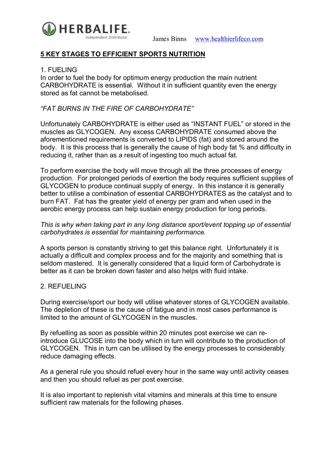

## **5 KEY STAGES TO EFFICIENT SPORTS NUTRITION**

### 1. FUELING

In order to fuel the body for optimum energy production the main nutrient CARBOHYDRATE is essential. Without it in sufficient quantity even the energy stored as fat cannot be metabolised.

## *"FAT BURNS IN THE FIRE OF CARBOHYDRATE"*

Unfortunately CARBOHYDRATE is either used as "INSTANT FUEL" or stored in the muscles as GLYCOGEN. Any excess CARBOHYDRATE consumed above the aforementioned requirements is converted to LIPIDS (fat) and stored around the body. It is this process that is generally the cause of high body fat % and difficulty in reducing it, rather than as a result of ingesting too much actual fat.

To perform exercise the body will move through all the three processes of energy production. For prolonged periods of exertion the body requires sufficient supplies of GLYCOGEN to produce continual supply of energy. In this instance it is generally better to utilise a combination of essential CARBOHYDRATES as the catalyst and to burn FAT. Fat has the greater yield of energy per gram and when used in the aerobic energy process can help sustain energy production for long periods.

### *This is why when taking part in any long distance sport/event topping up of essential carbohydrates is essential for maintaining performance.*

A sports person is constantly striving to get this balance right. Unfortunately it is actually a difficult and complex process and for the majority and something that is seldom mastered. It is generally considered that a liquid form of Carbohydrate is better as it can be broken down faster and also helps with fluid intake.

### 2. REFUELING

During exercise/sport our body will utilise whatever stores of GLYCOGEN available. The depletion of these is the cause of fatigue and in most cases performance is limited to the amount of GLYCOGEN in the muscles.

By refuelling as soon as possible within 20 minutes post exercise we can reintroduce GLUCOSE into the body which in turn will contribute to the production of GLYCOGEN. This in turn can be utilised by the energy processes to considerably reduce damaging effects.

As a general rule you should refuel every hour in the same way until activity ceases and then you should refuel as per post exercise.

It is also important to replenish vital vitamins and minerals at this time to ensure sufficient raw materials for the following phases.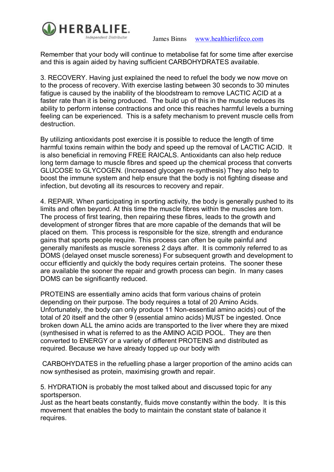

James Binns www.healthierlifeco.com

Remember that your body will continue to metabolise fat for some time after exercise and this is again aided by having sufficient CARBOHYDRATES available.

3. RECOVERY. Having just explained the need to refuel the body we now move on to the process of recovery. With exercise lasting between 30 seconds to 30 minutes fatigue is caused by the inability of the bloodstream to remove LACTIC ACID at a faster rate than it is being produced. The build up of this in the muscle reduces its ability to perform intense contractions and once this reaches harmful levels a burning feeling can be experienced. This is a safety mechanism to prevent muscle cells from destruction.

By utilizing antioxidants post exercise it is possible to reduce the length of time harmful toxins remain within the body and speed up the removal of LACTIC ACID. It is also beneficial in removing FREE RAICALS. Antioxidants can also help reduce long term damage to muscle fibres and speed up the chemical process that converts GLUCOSE to GLYCOGEN. (Increased glycogen resynthesis) They also help to boost the immune system and help ensure that the body is not fighting disease and infection, but devoting all its resources to recovery and repair.

4. REPAIR. When participating in sporting activity, the body is generally pushed to its limits and often beyond. At this time the muscle fibres within the muscles are torn. The process of first tearing, then repairing these fibres, leads to the growth and development of stronger fibres that are more capable of the demands that will be placed on them. This process is responsible for the size, strength and endurance gains that sports people require. This process can often be quite painful and generally manifests as muscle soreness 2 days after. It is commonly referred to as DOMS (delayed onset muscle soreness) For subsequent growth and development to occur efficiently and quickly the body requires certain proteins. The sooner these are available the sooner the repair and growth process can begin. In many cases DOMS can be significantly reduced.

PROTEINS are essentially amino acids that form various chains of protein depending on their purpose. The body requires a total of 20 Amino Acids. Unfortunately, the body can only produce 11 Nonessential amino acids) out of the total of 20 itself and the other 9 (essential amino acids) MUST be ingested. Once broken down ALL the amino acids are transported to the liver where they are mixed (synthesised in what is referred to as the AMINO ACID POOL. They are then converted to ENERGY or a variety of different PROTEINS and distributed as required. Because we have already topped up our body with

CARBOHYDATES in the refuelling phase a larger proportion of the amino acids can now synthesised as protein, maximising growth and repair.

5. HYDRATION is probably the most talked about and discussed topic for any sportsperson.

Just as the heart beats constantly, fluids move constantly within the body. It is this movement that enables the body to maintain the constant state of balance it requires.